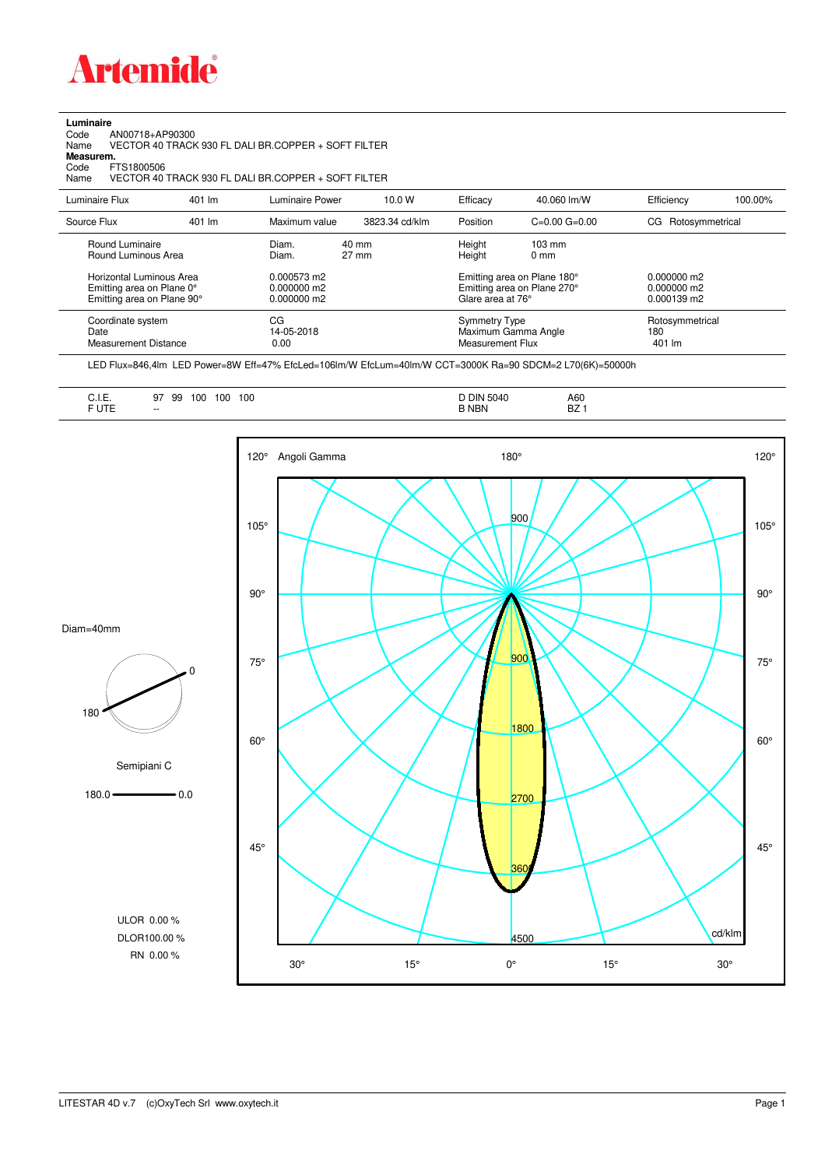

**Luminaire**<br>Code<br>Name Code AN00718+AP90300 Name VECTOR 40 TRACK 930 FL DALI BR.COPPER + SOFT FILTER

**Measurem.**

Code FTS1800506<br>Name VECTOR 40 Name VECTOR 40 TRACK 930 FL DALI BR.COPPER + SOFT FILTER

| Luminaire Flux                                                                                                                | 401 lm | Luminaire Power                                                 | 10.0 W                   | Efficacy | 40.060 lm/W                                                                                                                               | Efficiency                       | 100.00% |
|-------------------------------------------------------------------------------------------------------------------------------|--------|-----------------------------------------------------------------|--------------------------|----------|-------------------------------------------------------------------------------------------------------------------------------------------|----------------------------------|---------|
| Source Flux                                                                                                                   | 401 lm | Maximum value                                                   | 3823.34 cd/klm           | Position | $C=0.00$ $G=0.00$                                                                                                                         | CG Rotosymmetrical               |         |
| Round Luminaire<br>Round Luminous Area<br>Horizontal Luminous Area<br>Emitting area on Plane 0°<br>Emitting area on Plane 90° |        | Diam.<br>Diam.<br>0.000573 m2<br>$0.000000$ m2<br>$0.000000$ m2 | 40 mm<br>$27 \text{ mm}$ |          | Height<br>$103 \text{ mm}$<br>Height<br>$0 \text{ mm}$<br>Emitting area on Plane 180°<br>Emitting area on Plane 270°<br>Glare area at 76° |                                  |         |
| Coordinate system<br>Date<br><b>Measurement Distance</b>                                                                      |        | CG<br>14-05-2018<br>0.00                                        |                          |          | Symmetry Type<br>Maximum Gamma Angle<br>Measurement Flux                                                                                  | Rotosymmetrical<br>180<br>401 lm |         |

LED Flux=846,4lm LED Power=8W Eff=47% EfcLed=106lm/W EfcLum=40lm/W CCT=3000K Ra=90 SDCM=2 L70(6K)=50000h